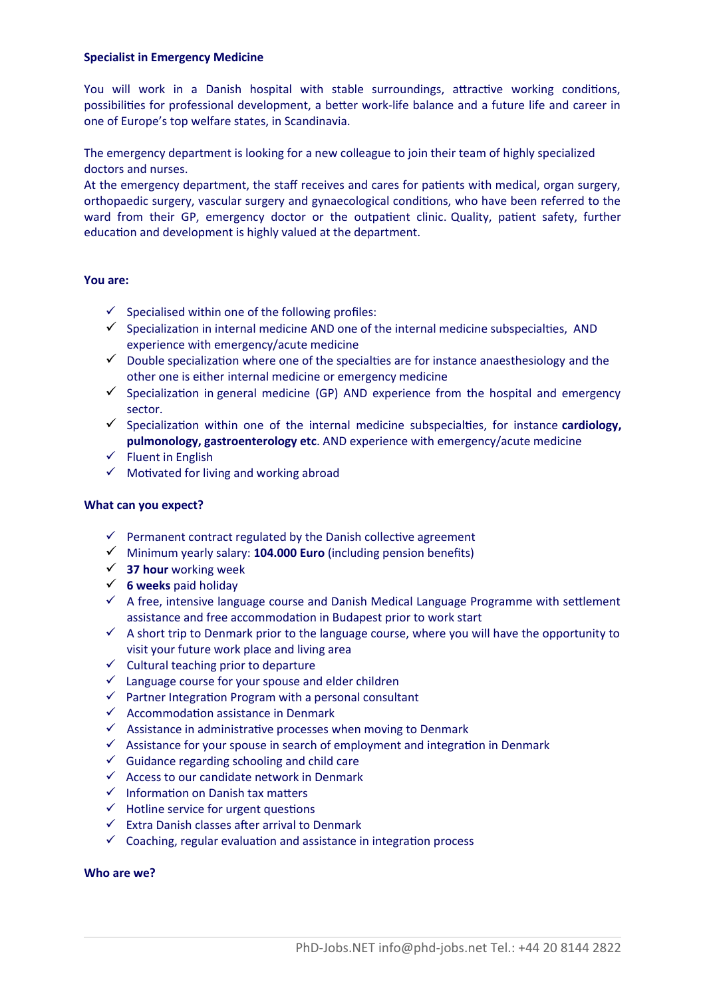### **Specialist in Emergency Medicine**

You will work in a Danish hospital with stable surroundings, attractive working conditions, possibilites for professional development, a beter work-life balance and a future life and career in one of Europe's top welfare states, in Scandinavia.

The emergency department is looking for a new colleague to join their team of highly specialized doctors and nurses.

At the emergency department, the staff receives and cares for patients with medical, organ surgery, orthopaedic surgery, vascular surgery and gynaecological conditons, who have been referred to the ward from their GP, emergency doctor or the outpatient clinic. Quality, patient safety, further education and development is highly valued at the department.

## **You are:**

- $\checkmark$  Specialised within one of the following profiles:
- $\checkmark$  Specialization in internal medicine AND one of the internal medicine subspecialties, AND experience with emergency/acute medicine
- $\checkmark$  Double specialization where one of the specialties are for instance anaesthesiology and the other one is either internal medicine or emergency medicine
- $\checkmark$  Specialization in general medicine (GP) AND experience from the hospital and emergency sector.
- Specializaton within one of the internal medicine subspecialtes, for instance **cardiology, pulmonology, gastroenterology etc**. AND experience with emergency/acute medicine
- $\checkmark$  Fluent in English
- $\checkmark$  Motivated for living and working abroad

#### **What can you expect?**

- $\checkmark$  Permanent contract regulated by the Danish collective agreement
- Minimum yearly salary: **104.000 Euro** (including pension benefts)
- **37 hour** working week
- **6 weeks** paid holiday
- $\checkmark$  A free, intensive language course and Danish Medical Language Programme with settlement assistance and free accommodaton in Budapest prior to work start
- $\checkmark$  A short trip to Denmark prior to the language course, where you will have the opportunity to visit your future work place and living area
- $\checkmark$  Cultural teaching prior to departure
- $\checkmark$  Language course for your spouse and elder children
- $\checkmark$  Partner Integration Program with a personal consultant
- $\checkmark$  Accommodation assistance in Denmark
- $\checkmark$  Assistance in administrative processes when moving to Denmark
- $\checkmark$  Assistance for your spouse in search of employment and integration in Denmark
- $\checkmark$  Guidance regarding schooling and child care
- $\checkmark$  Access to our candidate network in Denmark
- $\checkmark$  Information on Danish tax matters
- $\checkmark$  Hotline service for urgent questions
- $\checkmark$  Extra Danish classes after arrival to Denmark
- $\checkmark$  Coaching, regular evaluation and assistance in integration process

#### **Who are we?**